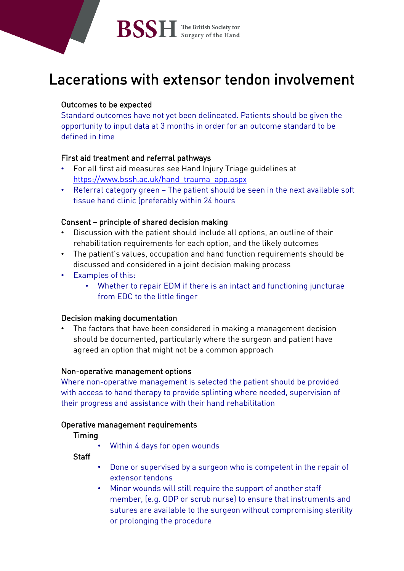## **BSSH** The British Society for

### Lacerations with extensor tendon involvement

#### Outcomes to be expected

Standard outcomes have not yet been delineated. Patients should be given the opportunity to input data at 3 months in order for an outcome standard to be defined in time

#### First aid treatment and referral pathways

- For all first aid measures see Hand Injury Triage guidelines at [https://www.bssh.ac.uk/hand\\_trauma\\_app.aspx](https://www.bssh.ac.uk/hand_trauma_app.aspx)
- Referral category green The patient should be seen in the next available soft tissue hand clinic (preferably within 24 hours

#### Consent – principle of shared decision making

- Discussion with the patient should include all options, an outline of their rehabilitation requirements for each option, and the likely outcomes
- The patient's values, occupation and hand function requirements should be discussed and considered in a joint decision making process
- Examples of this:
	- Whether to repair EDM if there is an intact and functioning juncturae from EDC to the little finger

#### Decision making documentation

The factors that have been considered in making a management decision should be documented, particularly where the surgeon and patient have agreed an option that might not be a common approach

#### Non-operative management options

Where non-operative management is selected the patient should be provided with access to hand therapy to provide splinting where needed, supervision of their progress and assistance with their hand rehabilitation

#### Operative management requirements

#### Timing

Within 4 days for open wounds

**Staff** 

- Done or supervised by a surgeon who is competent in the repair of extensor tendons
- Minor wounds will still require the support of another staff member, (e.g. ODP or scrub nurse) to ensure that instruments and sutures are available to the surgeon without compromising sterility or prolonging the procedure